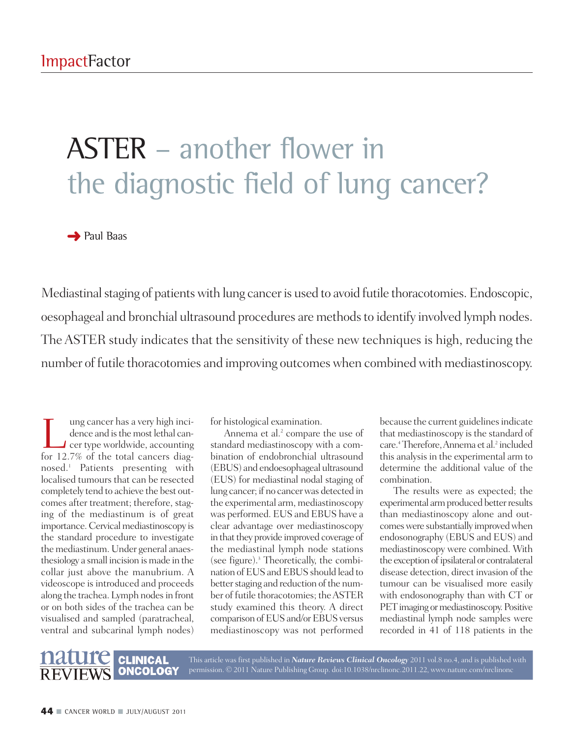## ASTER – another flower in the diagnostic field of lung cancer?

**➜** Paul Baas

Mediastinal staging of patients with lung cancer is used to avoid futile thoracotomies. Endoscopic, oesophageal and bronchial ultrasound procedures are methods to identify involved lymph nodes. TheASTER study indicates that the sensitivity of these new techniques is high, reducing the number of futile thoracotomies and improving outcomes when combined with mediastinoscopy.

Lung cancer has a very high incidence and is the most lethal can-<br>
cer type worldwide, accounting<br>
for 12.7% of the total cancers diagdence and is the most lethal can- $\Box$  cer type worldwide, accounting for 12.7% of the total cancers diagnosed. <sup>1</sup> Patients presenting with localised tumours that can be resected completely tend to achieve the best outcomes after treatment; therefore, staging of the mediastinum is of great importance. Cervical mediastinoscopy is the standard procedure to investigate the mediastinum. Under general anaesthesiology a small incision is made in the collar just above the manubrium. A videoscope is introduced and proceeds along the trachea. Lymph nodesin front or on both sides of the trachea can be visualised and sampled (paratracheal, ventral and subcarinal lymph nodes)

for histological examination.

Annema et al. <sup>2</sup> compare the use of standard mediastinoscopy with a combination of endobronchial ultrasound (EBUS) and endoesophageal ultrasound (EUS) for mediastinal nodal staging of lung cancer; if no cancerwas detected in the experimental arm, mediastinoscopy was performed. EUS and EBUS have a clear advantage over mediastinoscopy in that they provide improved coverage of the mediastinal lymph node stations (see figure). <sup>3</sup> Theoretically, the combination of EUS and EBUS should lead to better staging and reduction of the number of futile thoracotomies; theASTER study examined this theory. A direct comparison of EUS and/or EBUS versus mediastinoscopy was not performed

because the current guidelines indicate that mediastinoscopy is the standard of care. <sup>4</sup> Therefore,Annema et al. <sup>2</sup> included this analysis in the experimental arm to determine the additional value of the combination.

The results were as expected; the experimental arm produced better results than mediastinoscopy alone and outcomes were substantially improved when endosonography (EBUS and EUS) and mediastinoscopy were combined. With the exception of ipsilateral or contralateral disease detection, direct invasion of the tumour can be visualised more easily with endosonography than with CT or PET imaging or mediastinoscopy. Positive mediastinal lymph node samples were recorded in 41 of 118 patients in the



**CLINICAL** This article was first published in *Nature Reviews Clinical Oncology* 2011 vol.8 no.4, and is published with **ONCOLOGY** permission. © 2011 Nature Publishing Group. doi:10.1038/nrclinonc.2011.22, www.nature.com/nrclinonc